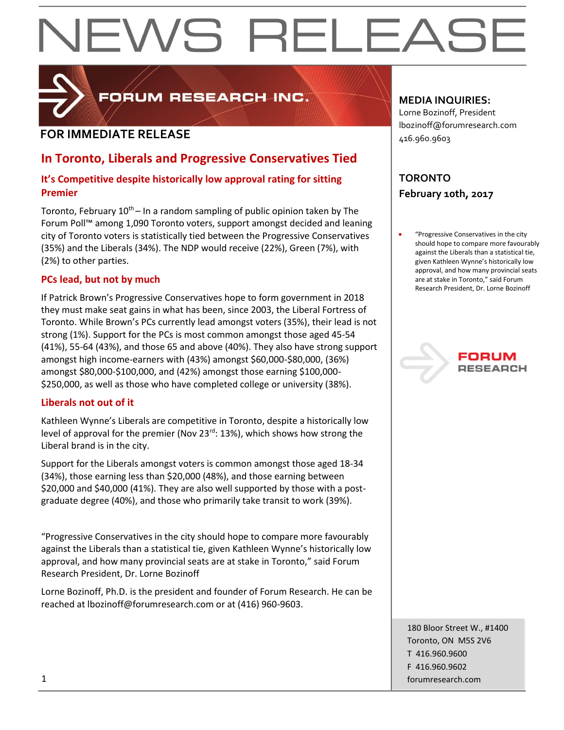# EWS RELEAS



FORUM RESEARCH INC.

### **FOR IMMEDIATE RELEASE**

### **In Toronto, Liberals and Progressive Conservatives Tied**

### **It's Competitive despite historically low approval rating for sitting Premier**

Toronto, February  $10^{th}$  – In a random sampling of public opinion taken by The Forum Poll™ among 1,090 Toronto voters, support amongst decided and leaning city of Toronto voters is statistically tied between the Progressive Conservatives (35%) and the Liberals (34%). The NDP would receive (22%), Green (7%), with (2%) to other parties.

### **PCs lead, but not by much**

If Patrick Brown's Progressive Conservatives hope to form government in 2018 they must make seat gains in what has been, since 2003, the Liberal Fortress of Toronto. While Brown's PCs currently lead amongst voters (35%), their lead is not strong (1%). Support for the PCs is most common amongst those aged 45-54 (41%), 55-64 (43%), and those 65 and above (40%). They also have strong support amongst high income-earners with (43%) amongst \$60,000-\$80,000, (36%) amongst \$80,000-\$100,000, and (42%) amongst those earning \$100,000- \$250,000, as well as those who have completed college or university (38%).

### **Liberals not out of it**

Kathleen Wynne's Liberals are competitive in Toronto, despite a historically low level of approval for the premier (Nov 23<sup>rd</sup>: 13%), which shows how strong the Liberal brand is in the city.

Support for the Liberals amongst voters is common amongst those aged 18-34 (34%), those earning less than \$20,000 (48%), and those earning between \$20,000 and \$40,000 (41%). They are also well supported by those with a postgraduate degree (40%), and those who primarily take transit to work (39%).

"Progressive Conservatives in the city should hope to compare more favourably against the Liberals than a statistical tie, given Kathleen Wynne's historically low approval, and how many provincial seats are at stake in Toronto," said Forum Research President, Dr. Lorne Bozinoff

Lorne Bozinoff, Ph.D. is the president and founder of Forum Research. He can be reached at lbozinoff@forumresearch.com or at (416) 960-9603.

### **MEDIA INQUIRIES:**

Lorne Bozinoff, President lbozinoff@forumresearch.com 416.960.9603

### **TORONTO February 10th, 2017**

 "Progressive Conservatives in the city should hope to compare more favourably against the Liberals than a statistical tie, given Kathleen Wynne's historically low approval, and how many provincial seats are at stake in Toronto," said Forum Research President, Dr. Lorne Bozinoff

## **RESEARCH**

180 Bloor Street W., #1400 Toronto, ON M5S 2V6 T 416.960.9600 F 416.960.9602 1 forumresearch.com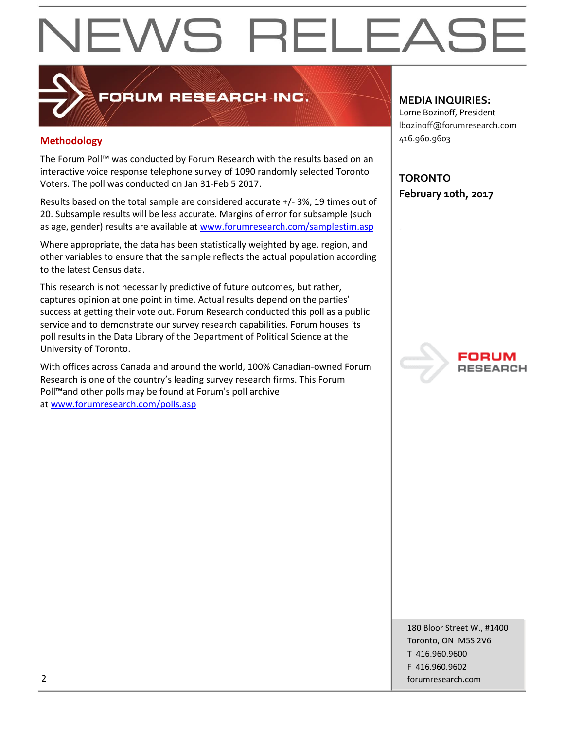# EWS RELEAS

### FORUM RESEARCH INC.

### **Methodology**

The Forum Poll™ was conducted by Forum Research with the results based on an interactive voice response telephone survey of 1090 randomly selected Toronto Voters. The poll was conducted on Jan 31-Feb 5 2017.

Results based on the total sample are considered accurate +/- 3%, 19 times out of 20. Subsample results will be less accurate. Margins of error for subsample (such as age, gender) results are available at [www.forumresearch.com/samplestim.asp](http://www.forumresearch.com/samplestim.asp)

Where appropriate, the data has been statistically weighted by age, region, and other variables to ensure that the sample reflects the actual population according to the latest Census data.

This research is not necessarily predictive of future outcomes, but rather, captures opinion at one point in time. Actual results depend on the parties' success at getting their vote out. Forum Research conducted this poll as a public service and to demonstrate our survey research capabilities. Forum houses its poll results in the Data Library of the Department of Political Science at the University of Toronto.

With offices across Canada and around the world, 100% Canadian-owned Forum Research is one of the country's leading survey research firms. This Forum Poll™and other polls may be found at Forum's poll archive at [www.forumresearch.com/polls.asp](http://www.forumresearch.com/polls.asp)

### **MEDIA INQUIRIES:**

Lorne Bozinoff, President lbozinoff@forumresearch.com 416.960.9603

**TORONTO February 10th, 2017**



180 Bloor Street W., #1400 Toronto, ON M5S 2V6 T 416.960.9600 F 416.960.9602 2 forumresearch.com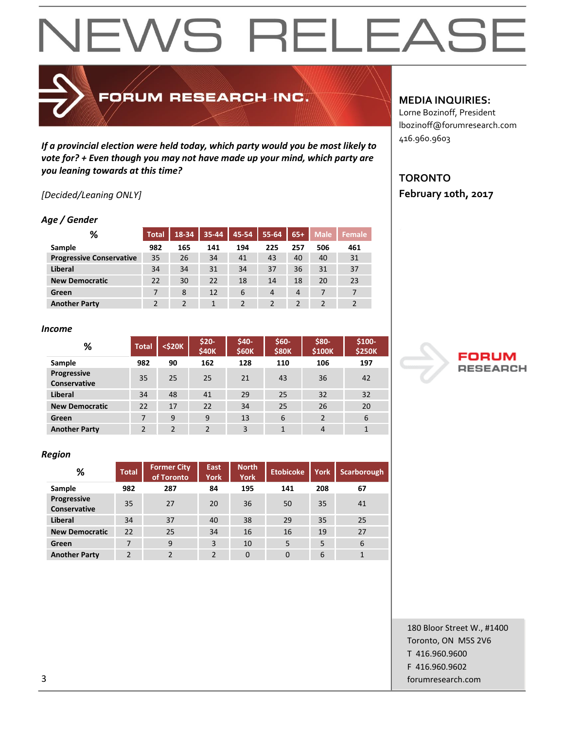### EWS RELEAS  $\blacktriangleleft$

FORUM RESEARCH INC.

*If a provincial election were held today, which party would you be most likely to vote for? + Even though you may not have made up your mind, which party are you leaning towards at this time?*

### *[Decided/Leaning ONLY]*

### *Age / Gender*

| %                               | <b>Total</b> | 18-34 | 35-44 | 45-54 | 55-64          | $65+$ | <b>Male</b> | Female |
|---------------------------------|--------------|-------|-------|-------|----------------|-------|-------------|--------|
| Sample                          | 982          | 165   | 141   | 194   | 225            | 257   | 506         | 461    |
| <b>Progressive Conservative</b> | 35           | 26    | 34    | 41    | 43             | 40    | 40          | 31     |
| Liberal                         | 34           | 34    | 31    | 34    | 37             | 36    | 31          | 37     |
| <b>New Democratic</b>           | 22           | 30    | 22    | 18    | 14             | 18    | 20          | 23     |
| Green                           |              | 8     | 12    | 6     | $\overline{4}$ | 4     | 7           | 7      |
| <b>Another Party</b>            |              |       |       |       |                |       |             |        |

### *Income*

| %                                  | <b>Total</b>   | $<$ \$20 $K$  | \$20-<br>\$40K | \$40-<br><b>\$60K</b> | $$60-$<br><b>\$80K</b> | \$80-<br>\$100K | \$100-<br><b>\$250K</b> |
|------------------------------------|----------------|---------------|----------------|-----------------------|------------------------|-----------------|-------------------------|
| Sample                             | 982            | 90            | 162            | 128                   | 110                    | 106             | 197                     |
| Progressive<br><b>Conservative</b> | 35             | 25            | 25             | 21                    | 43                     | 36              | 42                      |
| <b>Liberal</b>                     | 34             | 48            | 41             | 29                    | 25                     | 32              | 32                      |
| <b>New Democratic</b>              | 22             | 17            | 22             | 34                    | 25                     | 26              | 20                      |
| Green                              | 7              | 9             | 9              | 13                    | 6                      | $\overline{2}$  | 6                       |
| <b>Another Party</b>               | $\mathfrak{p}$ | $\mathcal{P}$ | $\mathcal{D}$  | 3                     | 1                      | 4               | 1                       |

### *Region*

| %                                  | <b>Total</b>   | <b>Former City</b><br>of Toronto | East<br><b>York</b> | <b>North</b><br><b>York</b> | <b>Etobicoke</b> | <b>York</b> | Scarborough  |
|------------------------------------|----------------|----------------------------------|---------------------|-----------------------------|------------------|-------------|--------------|
| Sample                             | 982            | 287                              | 84                  | 195                         | 141              | 208         | 67           |
| Progressive<br><b>Conservative</b> | 35             | 27                               | 20                  | 36                          | 50               | 35          | 41           |
| Liberal                            | 34             | 37                               | 40                  | 38                          | 29               | 35          | 25           |
| <b>New Democratic</b>              | 22             | 25                               | 34                  | 16                          | 16               | 19          | 27           |
| Green                              | 7              | 9                                | 3                   | 10                          | 5                | 5           | 6            |
| <b>Another Party</b>               | $\overline{2}$ | $\overline{2}$                   | 2                   | $\mathbf 0$                 | $\Omega$         | 6           | $\mathbf{1}$ |

### **MEDIA INQUIRIES:**

Lorne Bozinoff, President lbozinoff@forumresearch.com 416.960.9603

### **TORONTO February 10th, 2017**



180 Bloor Street W., #1400 Toronto, ON M5S 2V6 T 416.960.9600 F 416.960.9602 3 forumresearch.com